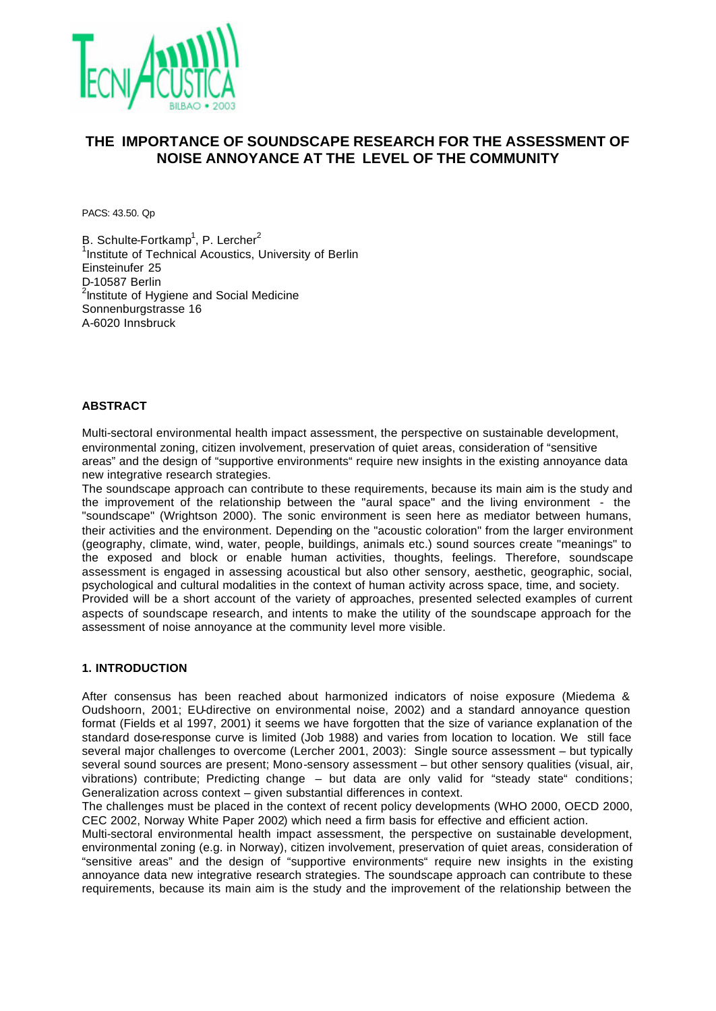

# **THE IMPORTANCE OF SOUNDSCAPE RESEARCH FOR THE ASSESSMENT OF NOISE ANNOYANCE AT THE LEVEL OF THE COMMUNITY**

PACS: 43.50. Qp

B. Schulte-Fortkamp<sup>1</sup>, P. Lercher<sup>2</sup> <sup>1</sup>Institute of Technical Acoustics, University of Berlin Einsteinufer 25 D-10587 Berlin <sup>2</sup>Institute of Hygiene and Social Medicine Sonnenburgstrasse 16 A-6020 Innsbruck

### **ABSTRACT**

Multi-sectoral environmental health impact assessment, the perspective on sustainable development, environmental zoning, citizen involvement, preservation of quiet areas, consideration of "sensitive areas" and the design of "supportive environments" require new insights in the existing annoyance data new integrative research strategies.

The soundscape approach can contribute to these requirements, because its main aim is the study and the improvement of the relationship between the "aural space" and the living environment - the "soundscape" (Wrightson 2000). The sonic environment is seen here as mediator between humans, their activities and the environment. Depending on the "acoustic coloration" from the larger environment (geography, climate, wind, water, people, buildings, animals etc.) sound sources create "meanings" to the exposed and block or enable human activities, thoughts, feelings. Therefore, soundscape assessment is engaged in assessing acoustical but also other sensory, aesthetic, geographic, social, psychological and cultural modalities in the context of human activity across space, time, and society. Provided will be a short account of the variety of approaches, presented selected examples of current aspects of soundscape research, and intents to make the utility of the soundscape approach for the assessment of noise annoyance at the community level more visible.

#### **1. INTRODUCTION**

After consensus has been reached about harmonized indicators of noise exposure (Miedema & Oudshoorn, 2001; EU-directive on environmental noise, 2002) and a standard annoyance question format (Fields et al 1997, 2001) it seems we have forgotten that the size of variance explanation of the standard dose-response curve is limited (Job 1988) and varies from location to location. We still face several major challenges to overcome (Lercher 2001, 2003): Single source assessment – but typically several sound sources are present; Mono-sensory assessment – but other sensory qualities (visual, air, vibrations) contribute; Predicting change – but data are only valid for "steady state" conditions; Generalization across context – given substantial differences in context.

The challenges must be placed in the context of recent policy developments (WHO 2000, OECD 2000, CEC 2002, Norway White Paper 2002) which need a firm basis for effective and efficient action.

Multi-sectoral environmental health impact assessment, the perspective on sustainable development, environmental zoning (e.g. in Norway), citizen involvement, preservation of quiet areas, consideration of "sensitive areas" and the design of "supportive environments" require new insights in the existing annoyance data new integrative research strategies. The soundscape approach can contribute to these requirements, because its main aim is the study and the improvement of the relationship between the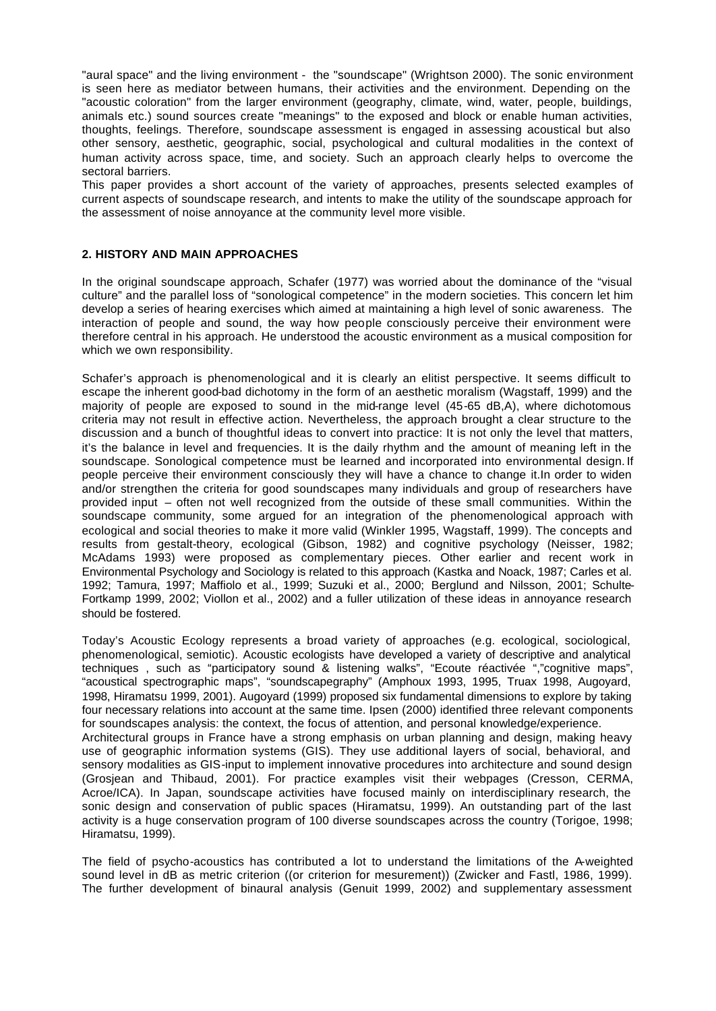"aural space" and the living environment - the "soundscape" (Wrightson 2000). The sonic environment is seen here as mediator between humans, their activities and the environment. Depending on the "acoustic coloration" from the larger environment (geography, climate, wind, water, people, buildings, animals etc.) sound sources create "meanings" to the exposed and block or enable human activities, thoughts, feelings. Therefore, soundscape assessment is engaged in assessing acoustical but also other sensory, aesthetic, geographic, social, psychological and cultural modalities in the context of human activity across space, time, and society. Such an approach clearly helps to overcome the sectoral barriers.

This paper provides a short account of the variety of approaches, presents selected examples of current aspects of soundscape research, and intents to make the utility of the soundscape approach for the assessment of noise annoyance at the community level more visible.

### **2. HISTORY AND MAIN APPROACHES**

In the original soundscape approach, Schafer (1977) was worried about the dominance of the "visual culture" and the parallel loss of "sonological competence" in the modern societies. This concern let him develop a series of hearing exercises which aimed at maintaining a high level of sonic awareness. The interaction of people and sound, the way how people consciously perceive their environment were therefore central in his approach. He understood the acoustic environment as a musical composition for which we own responsibility.

Schafer's approach is phenomenological and it is clearly an elitist perspective. It seems difficult to escape the inherent good-bad dichotomy in the form of an aesthetic moralism (Wagstaff, 1999) and the majority of people are exposed to sound in the mid-range level (45-65 dB,A), where dichotomous criteria may not result in effective action. Nevertheless, the approach brought a clear structure to the discussion and a bunch of thoughtful ideas to convert into practice: It is not only the level that matters, it's the balance in level and frequencies. It is the daily rhythm and the amount of meaning left in the soundscape. Sonological competence must be learned and incorporated into environmental design. If people perceive their environment consciously they will have a chance to change it.In order to widen and/or strengthen the criteria for good soundscapes many individuals and group of researchers have provided input – often not well recognized from the outside of these small communities. Within the soundscape community, some argued for an integration of the phenomenological approach with ecological and social theories to make it more valid (Winkler 1995, Wagstaff, 1999). The concepts and results from gestalt-theory, ecological (Gibson, 1982) and cognitive psychology (Neisser, 1982; McAdams 1993) were proposed as complementary pieces. Other earlier and recent work in Environmental Psychology and Sociology is related to this approach (Kastka and Noack, 1987; Carles et al. 1992; Tamura, 1997; Maffiolo et al., 1999; Suzuki et al., 2000; Berglund and Nilsson, 2001; Schulte-Fortkamp 1999, 2002; Viollon et al., 2002) and a fuller utilization of these ideas in annoyance research should be fostered.

Today's Acoustic Ecology represents a broad variety of approaches (e.g. ecological, sociological, phenomenological, semiotic). Acoustic ecologists have developed a variety of descriptive and analytical techniques , such as "participatory sound & listening walks", "Ecoute réactivée ","cognitive maps", "acoustical spectrographic maps", "soundscapegraphy" (Amphoux 1993, 1995, Truax 1998, Augoyard, 1998, Hiramatsu 1999, 2001). Augoyard (1999) proposed six fundamental dimensions to explore by taking four necessary relations into account at the same time. Ipsen (2000) identified three relevant components for soundscapes analysis: the context, the focus of attention, and personal knowledge/experience. Architectural groups in France have a strong emphasis on urban planning and design, making heavy use of geographic information systems (GIS). They use additional layers of social, behavioral, and sensory modalities as GIS-input to implement innovative procedures into architecture and sound design (Grosjean and Thibaud, 2001). For practice examples visit their webpages (Cresson, CERMA, Acroe/ICA). In Japan, soundscape activities have focused mainly on interdisciplinary research, the sonic design and conservation of public spaces (Hiramatsu, 1999). An outstanding part of the last activity is a huge conservation program of 100 diverse soundscapes across the country (Torigoe, 1998; Hiramatsu, 1999).

The field of psycho-acoustics has contributed a lot to understand the limitations of the A-weighted sound level in dB as metric criterion ((or criterion for mesurement)) (Zwicker and Fastl, 1986, 1999). The further development of binaural analysis (Genuit 1999, 2002) and supplementary assessment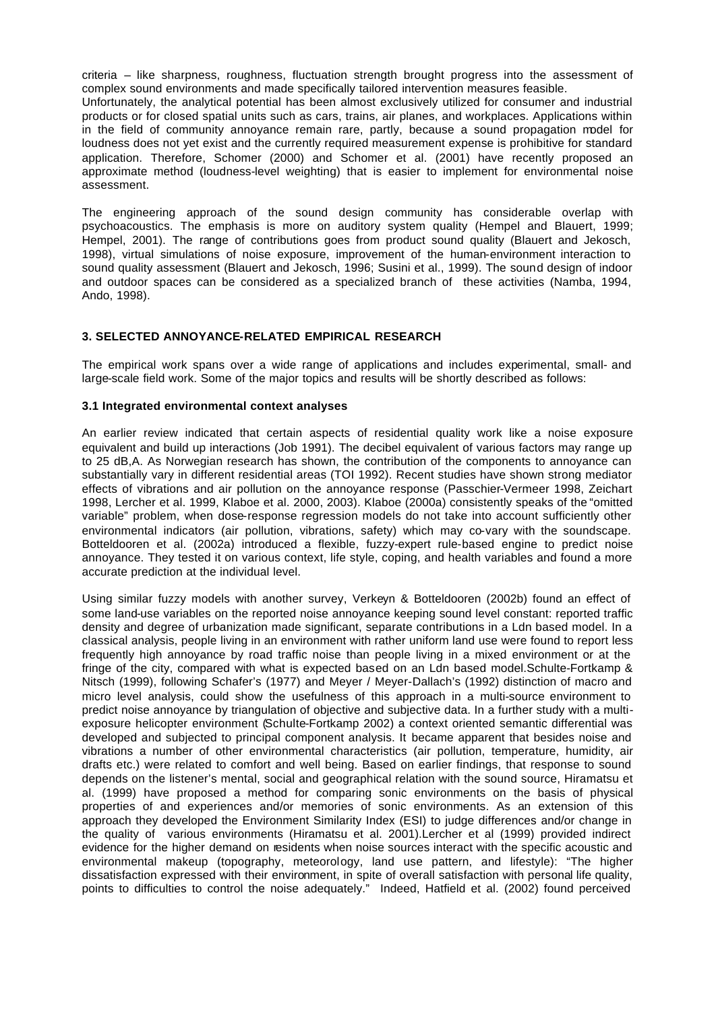criteria – like sharpness, roughness, fluctuation strength brought progress into the assessment of complex sound environments and made specifically tailored intervention measures feasible.

Unfortunately, the analytical potential has been almost exclusively utilized for consumer and industrial products or for closed spatial units such as cars, trains, air planes, and workplaces. Applications within in the field of community annoyance remain rare, partly, because a sound propagation model for loudness does not yet exist and the currently required measurement expense is prohibitive for standard application. Therefore, Schomer (2000) and Schomer et al. (2001) have recently proposed an approximate method (loudness-level weighting) that is easier to implement for environmental noise assessment.

The engineering approach of the sound design community has considerable overlap with psychoacoustics. The emphasis is more on auditory system quality (Hempel and Blauert, 1999; Hempel, 2001). The range of contributions goes from product sound quality (Blauert and Jekosch, 1998), virtual simulations of noise exposure, improvement of the human-environment interaction to sound quality assessment (Blauert and Jekosch, 1996; Susini et al., 1999). The sound design of indoor and outdoor spaces can be considered as a specialized branch of these activities (Namba, 1994, Ando, 1998).

#### **3. SELECTED ANNOYANCE-RELATED EMPIRICAL RESEARCH**

The empirical work spans over a wide range of applications and includes experimental, small- and large-scale field work. Some of the major topics and results will be shortly described as follows:

#### **3.1 Integrated environmental context analyses**

An earlier review indicated that certain aspects of residential quality work like a noise exposure equivalent and build up interactions (Job 1991). The decibel equivalent of various factors may range up to 25 dB,A. As Norwegian research has shown, the contribution of the components to annoyance can substantially vary in different residential areas (TOI 1992). Recent studies have shown strong mediator effects of vibrations and air pollution on the annoyance response (Passchier-Vermeer 1998, Zeichart 1998, Lercher et al. 1999, Klaboe et al. 2000, 2003). Klaboe (2000a) consistently speaks of the "omitted variable" problem, when dose-response regression models do not take into account sufficiently other environmental indicators (air pollution, vibrations, safety) which may co-vary with the soundscape. Botteldooren et al. (2002a) introduced a flexible, fuzzy-expert rule-based engine to predict noise annoyance. They tested it on various context, life style, coping, and health variables and found a more accurate prediction at the individual level.

Using similar fuzzy models with another survey, Verkeyn & Botteldooren (2002b) found an effect of some land-use variables on the reported noise annoyance keeping sound level constant: reported traffic density and degree of urbanization made significant, separate contributions in a Ldn based model. In a classical analysis, people living in an environment with rather uniform land use were found to report less frequently high annoyance by road traffic noise than people living in a mixed environment or at the fringe of the city, compared with what is expected based on an Ldn based model.Schulte-Fortkamp & Nitsch (1999), following Schafer's (1977) and Meyer / Meyer-Dallach's (1992) distinction of macro and micro level analysis, could show the usefulness of this approach in a multi-source environment to predict noise annoyance by triangulation of objective and subjective data. In a further study with a multiexposure helicopter environment (Schulte-Fortkamp 2002) a context oriented semantic differential was developed and subjected to principal component analysis. It became apparent that besides noise and vibrations a number of other environmental characteristics (air pollution, temperature, humidity, air drafts etc.) were related to comfort and well being. Based on earlier findings, that response to sound depends on the listener's mental, social and geographical relation with the sound source, Hiramatsu et al. (1999) have proposed a method for comparing sonic environments on the basis of physical properties of and experiences and/or memories of sonic environments. As an extension of this approach they developed the Environment Similarity Index (ESI) to judge differences and/or change in the quality of various environments (Hiramatsu et al. 2001).Lercher et al (1999) provided indirect evidence for the higher demand on residents when noise sources interact with the specific acoustic and environmental makeup (topography, meteorology, land use pattern, and lifestyle): "The higher dissatisfaction expressed with their environment, in spite of overall satisfaction with personal life quality, points to difficulties to control the noise adequately." Indeed, Hatfield et al. (2002) found perceived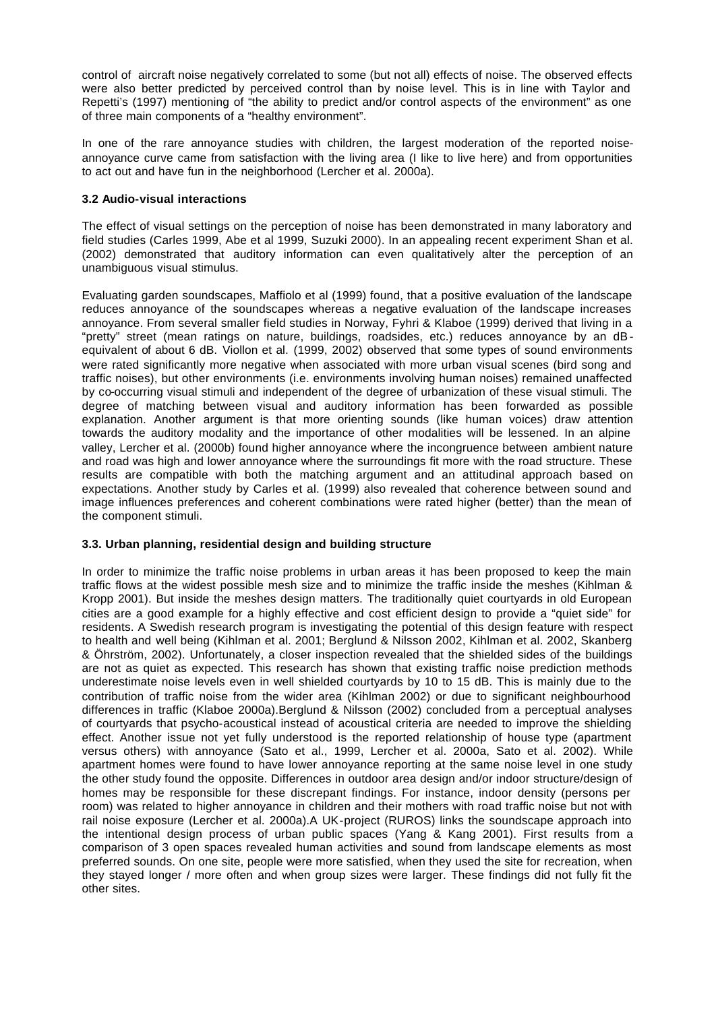control of aircraft noise negatively correlated to some (but not all) effects of noise. The observed effects were also better predicted by perceived control than by noise level. This is in line with Taylor and Repetti's (1997) mentioning of "the ability to predict and/or control aspects of the environment" as one of three main components of a "healthy environment".

In one of the rare annoyance studies with children, the largest moderation of the reported noiseannoyance curve came from satisfaction with the living area (I like to live here) and from opportunities to act out and have fun in the neighborhood (Lercher et al. 2000a).

# **3.2 Audio-visual interactions**

The effect of visual settings on the perception of noise has been demonstrated in many laboratory and field studies (Carles 1999, Abe et al 1999, Suzuki 2000). In an appealing recent experiment Shan et al. (2002) demonstrated that auditory information can even qualitatively alter the perception of an unambiguous visual stimulus.

Evaluating garden soundscapes, Maffiolo et al (1999) found, that a positive evaluation of the landscape reduces annoyance of the soundscapes whereas a negative evaluation of the landscape increases annoyance. From several smaller field studies in Norway, Fyhri & Klaboe (1999) derived that living in a "pretty" street (mean ratings on nature, buildings, roadsides, etc.) reduces annoyance by an dBequivalent of about 6 dB. Viollon et al. (1999, 2002) observed that some types of sound environments were rated significantly more negative when associated with more urban visual scenes (bird song and traffic noises), but other environments (i.e. environments involving human noises) remained unaffected by co-occurring visual stimuli and independent of the degree of urbanization of these visual stimuli. The degree of matching between visual and auditory information has been forwarded as possible explanation. Another argument is that more orienting sounds (like human voices) draw attention towards the auditory modality and the importance of other modalities will be lessened. In an alpine valley, Lercher et al. (2000b) found higher annoyance where the incongruence between ambient nature and road was high and lower annoyance where the surroundings fit more with the road structure. These results are compatible with both the matching argument and an attitudinal approach based on expectations. Another study by Carles et al. (1999) also revealed that coherence between sound and image influences preferences and coherent combinations were rated higher (better) than the mean of the component stimuli.

# **3.3. Urban planning, residential design and building structure**

In order to minimize the traffic noise problems in urban areas it has been proposed to keep the main traffic flows at the widest possible mesh size and to minimize the traffic inside the meshes (Kihlman & Kropp 2001). But inside the meshes design matters. The traditionally quiet courtyards in old European cities are a good example for a highly effective and cost efficient design to provide a "quiet side" for residents. A Swedish research program is investigating the potential of this design feature with respect to health and well being (Kihlman et al. 2001; Berglund & Nilsson 2002, Kihlman et al. 2002, Skanberg & Öhrström, 2002). Unfortunately, a closer inspection revealed that the shielded sides of the buildings are not as quiet as expected. This research has shown that existing traffic noise prediction methods underestimate noise levels even in well shielded courtyards by 10 to 15 dB. This is mainly due to the contribution of traffic noise from the wider area (Kihlman 2002) or due to significant neighbourhood differences in traffic (Klaboe 2000a).Berglund & Nilsson (2002) concluded from a perceptual analyses of courtyards that psycho-acoustical instead of acoustical criteria are needed to improve the shielding effect. Another issue not yet fully understood is the reported relationship of house type (apartment versus others) with annoyance (Sato et al., 1999, Lercher et al. 2000a, Sato et al. 2002). While apartment homes were found to have lower annoyance reporting at the same noise level in one study the other study found the opposite. Differences in outdoor area design and/or indoor structure/design of homes may be responsible for these discrepant findings. For instance, indoor density (persons per room) was related to higher annoyance in children and their mothers with road traffic noise but not with rail noise exposure (Lercher et al. 2000a).A UK-project (RUROS) links the soundscape approach into the intentional design process of urban public spaces (Yang & Kang 2001). First results from a comparison of 3 open spaces revealed human activities and sound from landscape elements as most preferred sounds. On one site, people were more satisfied, when they used the site for recreation, when they stayed longer / more often and when group sizes were larger. These findings did not fully fit the other sites.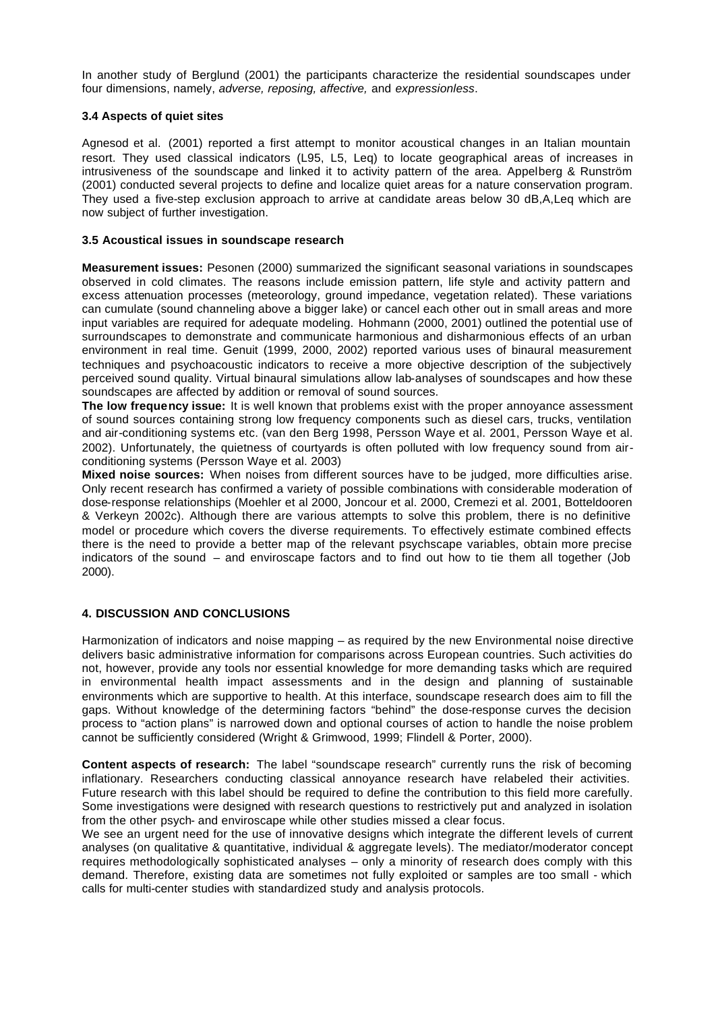In another study of Berglund (2001) the participants characterize the residential soundscapes under four dimensions, namely, *adverse, reposing, affective,* and *expressionless*.

### **3.4 Aspects of quiet sites**

Agnesod et al. (2001) reported a first attempt to monitor acoustical changes in an Italian mountain resort. They used classical indicators (L95, L5, Leq) to locate geographical areas of increases in intrusiveness of the soundscape and linked it to activity pattern of the area. Appelberg & Runström (2001) conducted several projects to define and localize quiet areas for a nature conservation program. They used a five-step exclusion approach to arrive at candidate areas below 30 dB,A,Leq which are now subject of further investigation.

### **3.5 Acoustical issues in soundscape research**

**Measurement issues:** Pesonen (2000) summarized the significant seasonal variations in soundscapes observed in cold climates. The reasons include emission pattern, life style and activity pattern and excess attenuation processes (meteorology, ground impedance, vegetation related). These variations can cumulate (sound channeling above a bigger lake) or cancel each other out in small areas and more input variables are required for adequate modeling. Hohmann (2000, 2001) outlined the potential use of surroundscapes to demonstrate and communicate harmonious and disharmonious effects of an urban environment in real time. Genuit (1999, 2000, 2002) reported various uses of binaural measurement techniques and psychoacoustic indicators to receive a more objective description of the subjectively perceived sound quality. Virtual binaural simulations allow lab-analyses of soundscapes and how these soundscapes are affected by addition or removal of sound sources.

**The low frequency issue:** It is well known that problems exist with the proper annoyance assessment of sound sources containing strong low frequency components such as diesel cars, trucks, ventilation and air-conditioning systems etc. (van den Berg 1998, Persson Waye et al. 2001, Persson Waye et al. 2002). Unfortunately, the quietness of courtyards is often polluted with low frequency sound from airconditioning systems (Persson Waye et al. 2003)

**Mixed noise sources:** When noises from different sources have to be judged, more difficulties arise. Only recent research has confirmed a variety of possible combinations with considerable moderation of dose-response relationships (Moehler et al 2000, Joncour et al. 2000, Cremezi et al. 2001, Botteldooren & Verkeyn 2002c). Although there are various attempts to solve this problem, there is no definitive model or procedure which covers the diverse requirements. To effectively estimate combined effects there is the need to provide a better map of the relevant psychscape variables, obtain more precise indicators of the sound – and enviroscape factors and to find out how to tie them all together (Job 2000).

# **4. DISCUSSION AND CONCLUSIONS**

Harmonization of indicators and noise mapping – as required by the new Environmental noise directive delivers basic administrative information for comparisons across European countries. Such activities do not, however, provide any tools nor essential knowledge for more demanding tasks which are required in environmental health impact assessments and in the design and planning of sustainable environments which are supportive to health. At this interface, soundscape research does aim to fill the gaps. Without knowledge of the determining factors "behind" the dose-response curves the decision process to "action plans" is narrowed down and optional courses of action to handle the noise problem cannot be sufficiently considered (Wright & Grimwood, 1999; Flindell & Porter, 2000).

**Content aspects of research:** The label "soundscape research" currently runs the risk of becoming inflationary. Researchers conducting classical annoyance research have relabeled their activities. Future research with this label should be required to define the contribution to this field more carefully. Some investigations were designed with research questions to restrictively put and analyzed in isolation from the other psych- and enviroscape while other studies missed a clear focus.

We see an urgent need for the use of innovative designs which integrate the different levels of current analyses (on qualitative & quantitative, individual & aggregate levels). The mediator/moderator concept requires methodologically sophisticated analyses – only a minority of research does comply with this demand. Therefore, existing data are sometimes not fully exploited or samples are too small - which calls for multi-center studies with standardized study and analysis protocols.